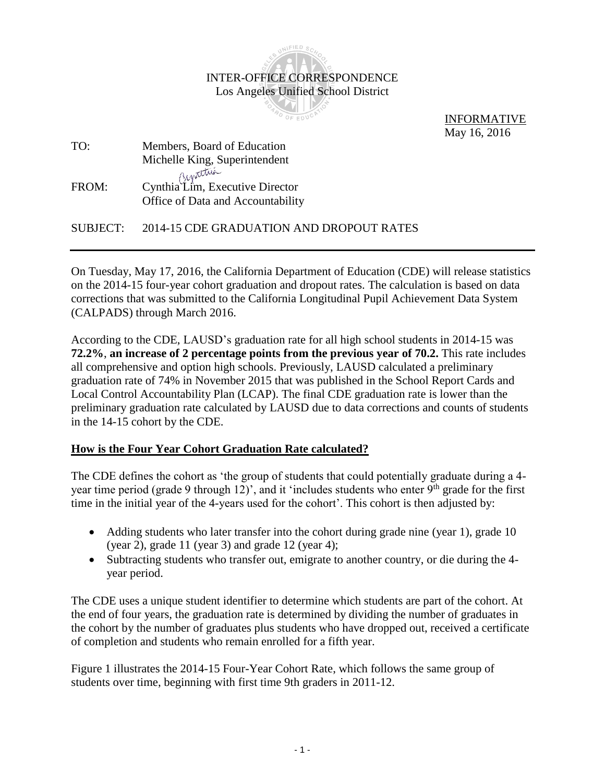

 INFORMATIVE May 16, 2016

TO: Members, Board of Education Michelle King, Superintendent FROM: Cynthia Lim, Executive Director Office of Data and Accountability

SUBJECT: 2014-15 CDE GRADUATION AND DROPOUT RATES

On Tuesday, May 17, 2016, the California Department of Education (CDE) will release statistics on the 2014-15 four-year cohort graduation and dropout rates. The calculation is based on data corrections that was submitted to the California Longitudinal Pupil Achievement Data System (CALPADS) through March 2016.

According to the CDE, LAUSD's graduation rate for all high school students in 2014-15 was **72.2%**, **an increase of 2 percentage points from the previous year of 70.2.** This rate includes all comprehensive and option high schools. Previously, LAUSD calculated a preliminary graduation rate of 74% in November 2015 that was published in the School Report Cards and Local Control Accountability Plan (LCAP). The final CDE graduation rate is lower than the preliminary graduation rate calculated by LAUSD due to data corrections and counts of students in the 14-15 cohort by the CDE.

## **How is the Four Year Cohort Graduation Rate calculated?**

The CDE defines the cohort as 'the group of students that could potentially graduate during a 4 year time period (grade 9 through 12)', and it 'includes students who enter  $9<sup>th</sup>$  grade for the first time in the initial year of the 4-years used for the cohort'. This cohort is then adjusted by:

- Adding students who later transfer into the cohort during grade nine (year 1), grade 10 (year 2), grade 11 (year 3) and grade 12 (year 4);
- Subtracting students who transfer out, emigrate to another country, or die during the 4 year period.

The CDE uses a unique student identifier to determine which students are part of the cohort. At the end of four years, the graduation rate is determined by dividing the number of graduates in the cohort by the number of graduates plus students who have dropped out, received a certificate of completion and students who remain enrolled for a fifth year.

Figure 1 illustrates the 2014-15 Four-Year Cohort Rate, which follows the same group of students over time, beginning with first time 9th graders in 2011-12.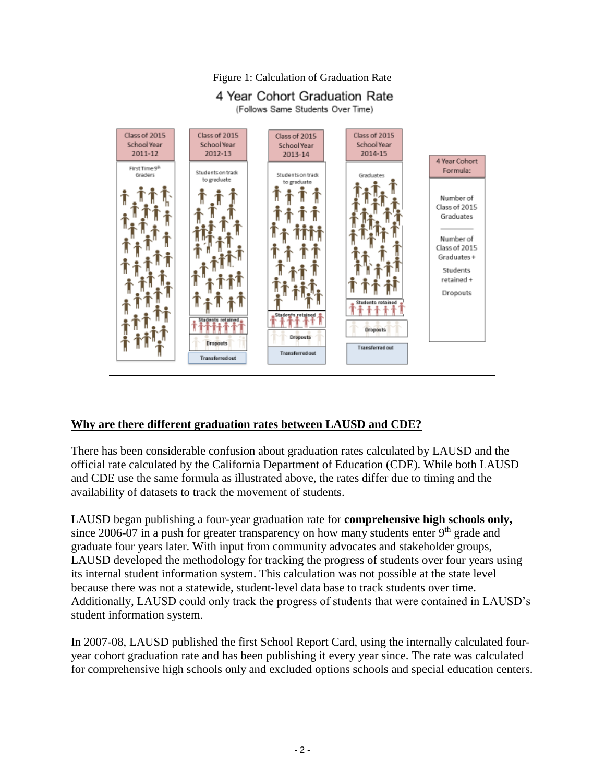



#### **Why are there different graduation rates between LAUSD and CDE?**

There has been considerable confusion about graduation rates calculated by LAUSD and the official rate calculated by the California Department of Education (CDE). While both LAUSD and CDE use the same formula as illustrated above, the rates differ due to timing and the availability of datasets to track the movement of students.

LAUSD began publishing a four-year graduation rate for **comprehensive high schools only,** since 2006-07 in a push for greater transparency on how many students enter  $9<sup>th</sup>$  grade and graduate four years later. With input from community advocates and stakeholder groups, LAUSD developed the methodology for tracking the progress of students over four years using its internal student information system. This calculation was not possible at the state level because there was not a statewide, student-level data base to track students over time. Additionally, LAUSD could only track the progress of students that were contained in LAUSD's student information system.

In 2007-08, LAUSD published the first School Report Card, using the internally calculated fouryear cohort graduation rate and has been publishing it every year since. The rate was calculated for comprehensive high schools only and excluded options schools and special education centers.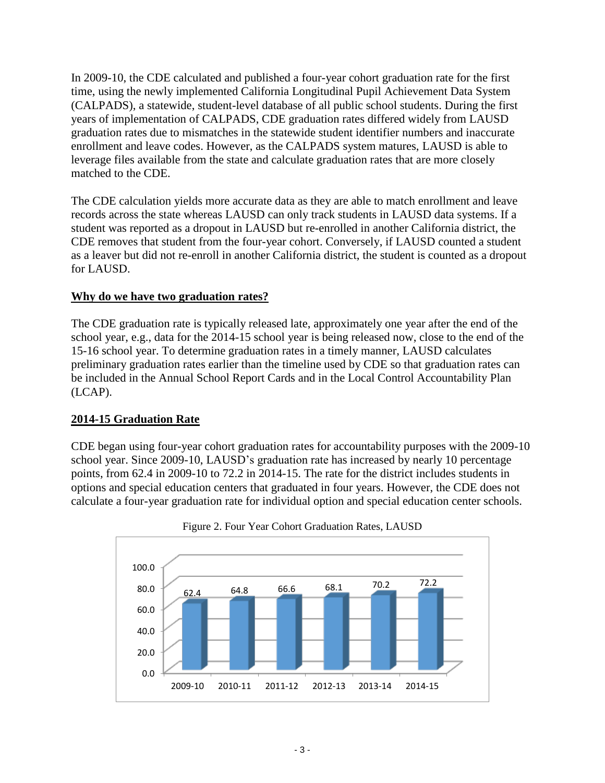In 2009-10, the CDE calculated and published a four-year cohort graduation rate for the first time, using the newly implemented California Longitudinal Pupil Achievement Data System (CALPADS), a statewide, student-level database of all public school students. During the first years of implementation of CALPADS, CDE graduation rates differed widely from LAUSD graduation rates due to mismatches in the statewide student identifier numbers and inaccurate enrollment and leave codes. However, as the CALPADS system matures, LAUSD is able to leverage files available from the state and calculate graduation rates that are more closely matched to the CDE.

The CDE calculation yields more accurate data as they are able to match enrollment and leave records across the state whereas LAUSD can only track students in LAUSD data systems. If a student was reported as a dropout in LAUSD but re-enrolled in another California district, the CDE removes that student from the four-year cohort. Conversely, if LAUSD counted a student as a leaver but did not re-enroll in another California district, the student is counted as a dropout for LAUSD.

# **Why do we have two graduation rates?**

The CDE graduation rate is typically released late, approximately one year after the end of the school year, e.g., data for the 2014-15 school year is being released now, close to the end of the 15-16 school year. To determine graduation rates in a timely manner, LAUSD calculates preliminary graduation rates earlier than the timeline used by CDE so that graduation rates can be included in the Annual School Report Cards and in the Local Control Accountability Plan (LCAP).

## **2014-15 Graduation Rate**

CDE began using four-year cohort graduation rates for accountability purposes with the 2009-10 school year. Since 2009-10, LAUSD's graduation rate has increased by nearly 10 percentage points, from 62.4 in 2009-10 to 72.2 in 2014-15. The rate for the district includes students in options and special education centers that graduated in four years. However, the CDE does not calculate a four-year graduation rate for individual option and special education center schools.



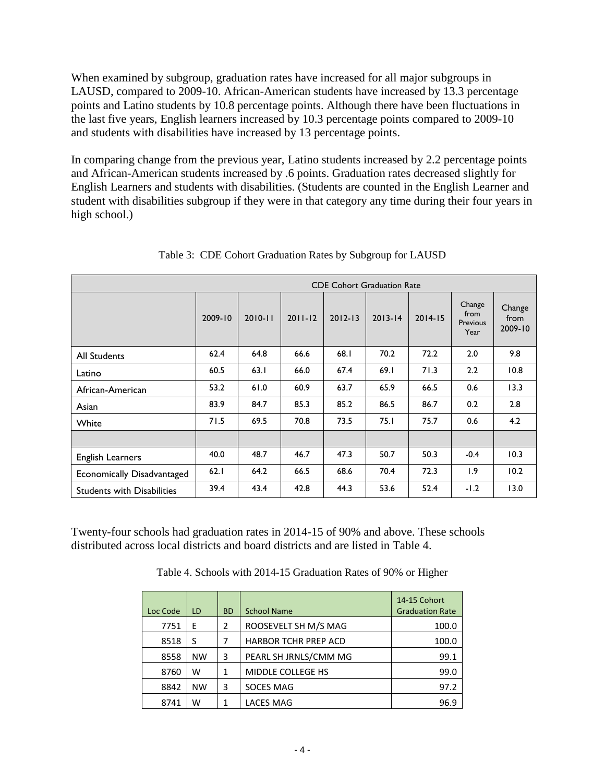When examined by subgroup, graduation rates have increased for all major subgroups in LAUSD, compared to 2009-10. African-American students have increased by 13.3 percentage points and Latino students by 10.8 percentage points. Although there have been fluctuations in the last five years, English learners increased by 10.3 percentage points compared to 2009-10 and students with disabilities have increased by 13 percentage points.

In comparing change from the previous year, Latino students increased by 2.2 percentage points and African-American students increased by .6 points. Graduation rates decreased slightly for English Learners and students with disabilities. (Students are counted in the English Learner and student with disabilities subgroup if they were in that category any time during their four years in high school.)

|                                   | <b>CDE Cohort Graduation Rate</b> |             |             |             |             |             |                                    |                           |
|-----------------------------------|-----------------------------------|-------------|-------------|-------------|-------------|-------------|------------------------------------|---------------------------|
|                                   | 2009-10                           | $2010 - 11$ | $2011 - 12$ | $2012 - 13$ | $2013 - 14$ | $2014 - 15$ | Change<br>from<br>Previous<br>Year | Change<br>from<br>2009-10 |
| <b>All Students</b>               | 62.4                              | 64.8        | 66.6        | 68.1        | 70.2        | 72.2        | 2.0                                | 9.8                       |
| Latino                            | 60.5                              | 63.1        | 66.0        | 67.4        | 69.1        | 71.3        | 2.2                                | 10.8                      |
| African-American                  | 53.2                              | 61.0        | 60.9        | 63.7        | 65.9        | 66.5        | 0.6                                | 13.3                      |
| Asian                             | 83.9                              | 84.7        | 85.3        | 85.2        | 86.5        | 86.7        | 0.2                                | 2.8                       |
| White                             | 71.5                              | 69.5        | 70.8        | 73.5        | 75.1        | 75.7        | 0.6                                | 4.2                       |
|                                   |                                   |             |             |             |             |             |                                    |                           |
| <b>English Learners</b>           | 40.0                              | 48.7        | 46.7        | 47.3        | 50.7        | 50.3        | $-0.4$                             | 10.3                      |
| Economically Disadvantaged        | 62.1                              | 64.2        | 66.5        | 68.6        | 70.4        | 72.3        | 1.9                                | 10.2                      |
| <b>Students with Disabilities</b> | 39.4                              | 43.4        | 42.8        | 44.3        | 53.6        | 52.4        | $-1.2$                             | 13.0                      |

Table 3: CDE Cohort Graduation Rates by Subgroup for LAUSD

Twenty-four schools had graduation rates in 2014-15 of 90% and above. These schools distributed across local districts and board districts and are listed in Table 4.

Table 4. Schools with 2014-15 Graduation Rates of 90% or Higher

| Loc Code | LD.       | <b>BD</b> | <b>School Name</b>          | 14-15 Cohort<br><b>Graduation Rate</b> |
|----------|-----------|-----------|-----------------------------|----------------------------------------|
| 7751     | E         | 2         | ROOSEVELT SH M/S MAG        | 100.0                                  |
| 8518     | S         |           | <b>HARBOR TCHR PREP ACD</b> | 100.0                                  |
| 8558     | <b>NW</b> | 3         | PEARL SH JRNLS/CMM MG       | 99.1                                   |
| 8760     | w         | 1         | MIDDLE COLLEGE HS           | 99.0                                   |
| 8842     | <b>NW</b> | 3         | <b>SOCES MAG</b>            | 97.2                                   |
| 8741     | w         |           | <b>LACES MAG</b>            | 96.9                                   |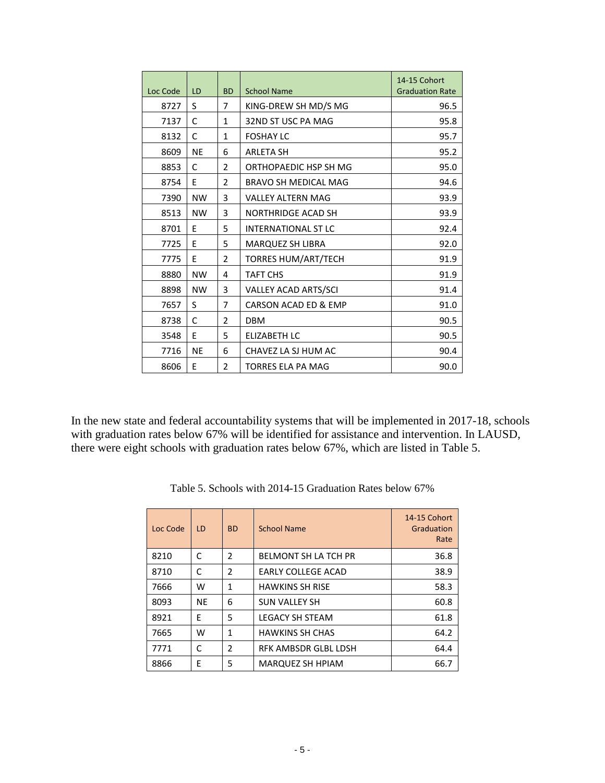|          |           |                |                             | 14-15 Cohort           |
|----------|-----------|----------------|-----------------------------|------------------------|
| Loc Code | LD        | <b>BD</b>      | <b>School Name</b>          | <b>Graduation Rate</b> |
| 8727     | S         | 7              | KING-DREW SH MD/S MG        | 96.5                   |
| 7137     | C         | $\mathbf{1}$   | 32ND ST USC PA MAG          | 95.8                   |
| 8132     | C         | $\mathbf{1}$   | <b>FOSHAY LC</b>            | 95.7                   |
| 8609     | <b>NE</b> | 6              | <b>ARLETA SH</b>            | 95.2                   |
| 8853     | C         | 2              | ORTHOPAEDIC HSP SH MG       | 95.0                   |
| 8754     | F         | 2              | <b>BRAVO SH MEDICAL MAG</b> | 94.6                   |
| 7390     | <b>NW</b> | 3              | <b>VALLEY ALTERN MAG</b>    | 93.9                   |
| 8513     | <b>NW</b> | 3              | <b>NORTHRIDGE ACAD SH</b>   | 93.9                   |
| 8701     | E         | 5              | <b>INTERNATIONAL ST LC</b>  | 92.4                   |
| 7725     | F         | 5              | MARQUEZ SH LIBRA            | 92.0                   |
| 7775     | F         | 2              | TORRES HUM/ART/TECH         | 91.9                   |
| 8880     | <b>NW</b> | 4              | <b>TAFT CHS</b>             | 91.9                   |
| 8898     | <b>NW</b> | 3              | VALLEY ACAD ARTS/SCI        | 91.4                   |
| 7657     | S         | 7              | CARSON ACAD ED & EMP        | 91.0                   |
| 8738     | C         | 2              | <b>DBM</b>                  | 90.5                   |
| 3548     | F         | 5              | <b>ELIZABETH LC</b>         | 90.5                   |
| 7716     | <b>NE</b> | 6              | CHAVEZ LA SJ HUM AC         | 90.4                   |
| 8606     | F         | $\overline{2}$ | <b>TORRES ELA PA MAG</b>    | 90.0                   |

In the new state and federal accountability systems that will be implemented in 2017-18, schools with graduation rates below 67% will be identified for assistance and intervention. In LAUSD, there were eight schools with graduation rates below 67%, which are listed in Table 5.

| Loc Code | LD        | <b>BD</b>      | <b>School Name</b>          | 14-15 Cohort<br>Graduation<br>Rate |
|----------|-----------|----------------|-----------------------------|------------------------------------|
| 8210     | C         | $\mathcal{P}$  | <b>BELMONT SH LA TCH PR</b> | 36.8                               |
| 8710     | C         | $\mathcal{P}$  | <b>EARLY COLLEGE ACAD</b>   | 38.9                               |
| 7666     | w         | 1              | <b>HAWKINS SH RISE</b>      | 58.3                               |
| 8093     | <b>NE</b> | 6              | <b>SUN VALLEY SH</b>        | 60.8                               |
| 8921     | F         | 5              | <b>LEGACY SH STEAM</b>      | 61.8                               |
| 7665     | w         | 1              | <b>HAWKINS SH CHAS</b>      | 64.2                               |
| 7771     | C         | $\mathfrak{p}$ | RFK AMBSDR GLBL LDSH        | 64.4                               |
| 8866     | F         | 5              | MARQUEZ SH HPIAM            | 66.7                               |

Table 5. Schools with 2014-15 Graduation Rates below 67%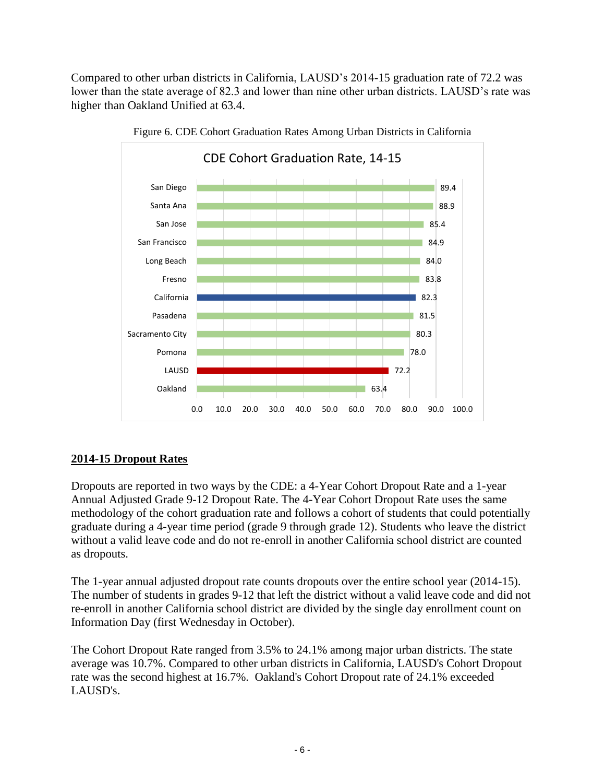Compared to other urban districts in California, LAUSD's 2014-15 graduation rate of 72.2 was lower than the state average of 82.3 and lower than nine other urban districts. LAUSD's rate was higher than Oakland Unified at 63.4.



Figure 6. CDE Cohort Graduation Rates Among Urban Districts in California

# **2014-15 Dropout Rates**

Dropouts are reported in two ways by the CDE: a 4-Year Cohort Dropout Rate and a 1-year Annual Adjusted Grade 9-12 Dropout Rate. The 4-Year Cohort Dropout Rate uses the same methodology of the cohort graduation rate and follows a cohort of students that could potentially graduate during a 4-year time period (grade 9 through grade 12). Students who leave the district without a valid leave code and do not re-enroll in another California school district are counted as dropouts.

The 1-year annual adjusted dropout rate counts dropouts over the entire school year (2014-15). The number of students in grades 9-12 that left the district without a valid leave code and did not re-enroll in another California school district are divided by the single day enrollment count on Information Day (first Wednesday in October).

The Cohort Dropout Rate ranged from 3.5% to 24.1% among major urban districts. The state average was 10.7%. Compared to other urban districts in California, LAUSD's Cohort Dropout rate was the second highest at 16.7%. Oakland's Cohort Dropout rate of 24.1% exceeded LAUSD's.